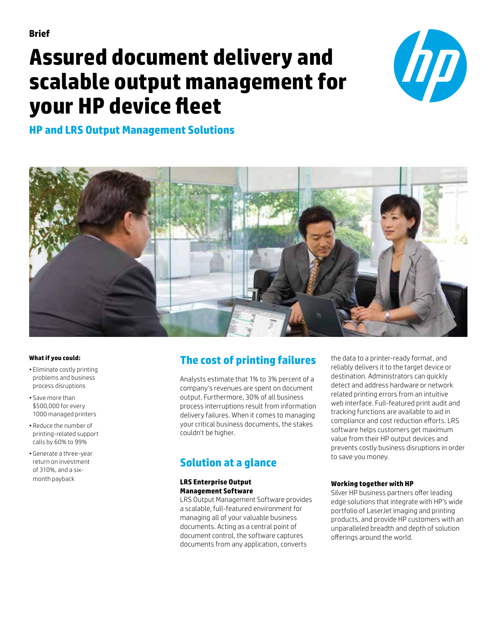# **Assured document delivery and scalable output management for your HP device fleet**



# **HP and LRS Output Management Solutions**



## **What if you could:**

- Eliminate costly printing problems and business process disruptions
- Save more than \$500,000 for every 1000 managed printers
- Reduce the number of printing-related support calls by 60% to 99%
- Generate a three-year return on investment of 310%, and a sixmonth payback

# **The cost of printing failures**

Analysts estimate that 1% to 3% percent of a company's revenues are spent on document output. Furthermore, 30% of all business process interruptions result from information delivery failures. When it comes to managing your critical business documents, the stakes couldn't be higher.

# **Solution at a glance**

## **LRS Enterprise Output Management Software**

LRS Output Management Software provides a scalable, full-featured environment for managing all of your valuable business documents. Acting as a central point of document control, the software captures documents from any application, converts

the data to a printer-ready format, and reliably delivers it to the target device or destination. Administrators can quickly detect and address hardware or network related printing errors from an intuitive web interface. Full-featured print audit and tracking functions are available to aid in compliance and cost reduction efforts. LRS software helps customers get maximum value from their HP output devices and prevents costly business disruptions in order to save you money.

## **Working together with HP**

Silver HP business partners offer leading edge solutions that integrate with HP's wide portfolio of LaserJet imaging and printing products, and provide HP customers with an unparalleled breadth and depth of solution offerings around the world.